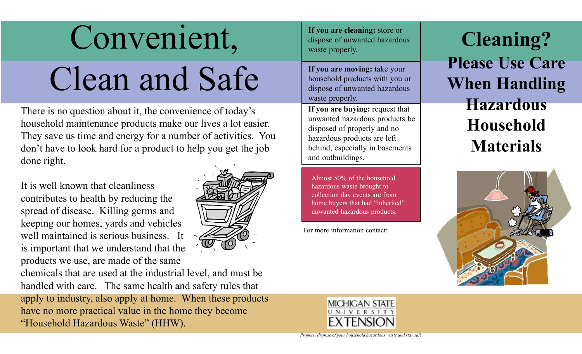## Convenient,

## Clean and Safe

There is no question about it, the convenience of today's household maintenance products make our lives a lot easier. They save us time and energy for a number of activities. You don't have to look hard for a product to help you get the job done right.

It is well known that cleanliness contributes to health by reducing the spread of disease. Killing germs and keeping our homes, yards and vehicles well maintained is serious business. It is important that we understand that the products we use, are made of the same



chemicals that are used at the industrial level, and must be handled with care. The same health and safety rules that apply to industry, also apply at home. When these products have no more practical value in the home they become "Household Hazardous Waste" (HHW).

**If you are cleaning:** store or dispose of unwanted hazardous waste properly.

**If you are moving:** take your household products with you or dispose of unwanted hazardous waste properly.

**If you are buying:** request that unwanted hazardous products be disposed of properly and no hazardous products are left behind, especially in basements and outbuildings.

Almost 50% of the household hazardous waste brought to collection day events are from home buyers that had "inherited" unwanted hazardous products.

For more information contact:

**Cleaning? Please Use Care When Handling Hazardous Household Materials**





*Properly dispose of your household hazardous waste and stay safe.*